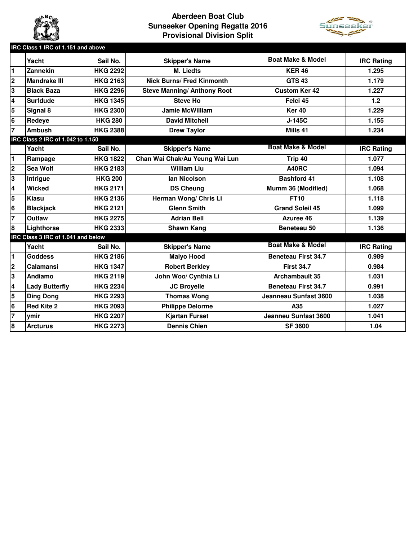

## **Aberdeen Boat Club Sunseeker Opening Regatta 2016 Provisional Division Split**



|                                    | IRC Class 1 IRC of 1.151 and above |                 |                                    |                              |                   |  |  |  |  |  |
|------------------------------------|------------------------------------|-----------------|------------------------------------|------------------------------|-------------------|--|--|--|--|--|
|                                    | Yacht                              | Sail No.        | <b>Skipper's Name</b>              | <b>Boat Make &amp; Model</b> | <b>IRC Rating</b> |  |  |  |  |  |
| $\blacksquare$                     | Zannekin                           | <b>HKG 2292</b> | <b>M. Liedts</b>                   | <b>KER 46</b>                | 1.295             |  |  |  |  |  |
| $\overline{\mathbf{2}}$            | <b>Mandrake III</b>                | <b>HKG 2163</b> | <b>Nick Burns/ Fred Kinmonth</b>   | <b>GTS 43</b>                | 1.179             |  |  |  |  |  |
| 3                                  | <b>Black Baza</b>                  | <b>HKG 2296</b> | <b>Steve Manning/ Anthony Root</b> | <b>Custom Ker 42</b>         | 1.227             |  |  |  |  |  |
| $\overline{\mathbf{4}}$            | <b>Surfdude</b>                    | <b>HKG 1345</b> | <b>Steve Ho</b>                    | Felci 45                     | 1.2               |  |  |  |  |  |
| $\overline{\mathbf{5}}$            | Signal 8                           | <b>HKG 2300</b> | Jamie McWilliam                    | <b>Ker 40</b>                | 1.229             |  |  |  |  |  |
| 6                                  | Redeye                             | <b>HKG 280</b>  | <b>David Mitchell</b>              | $J-145C$                     | 1.155             |  |  |  |  |  |
| $\overline{7}$                     | <b>Ambush</b>                      | <b>HKG 2388</b> | <b>Drew Taylor</b>                 | Mills 41                     | 1.234             |  |  |  |  |  |
| IRC Class 2 IRC of 1.042 to 1.150  |                                    |                 |                                    |                              |                   |  |  |  |  |  |
|                                    | Yacht                              | Sail No.        | <b>Skipper's Name</b>              | <b>Boat Make &amp; Model</b> | <b>IRC Rating</b> |  |  |  |  |  |
| $\blacksquare$                     | Rampage                            | <b>HKG 1822</b> | Chan Wai Chak/Au Yeung Wai Lun     | Trip 40                      | 1.077             |  |  |  |  |  |
| $\overline{\mathbf{2}}$            | Sea Wolf                           | <b>HKG 2183</b> | <b>William Liu</b>                 | A40RC                        | 1.094             |  |  |  |  |  |
| 3                                  | Intrigue                           | <b>HKG 200</b>  | <b>Ian Nicolson</b>                | <b>Bashford 41</b>           | 1.108             |  |  |  |  |  |
| $\overline{\mathbf{4}}$            | <b>Wicked</b>                      | <b>HKG 2171</b> | <b>DS Cheung</b>                   | Mumm 36 (Modified)           | 1.068             |  |  |  |  |  |
| 5                                  | Kiasu                              | <b>HKG 2136</b> | Herman Wong/ Chris Li              | <b>FT10</b>                  | 1.118             |  |  |  |  |  |
| $6\phantom{1}6$                    | <b>Blackjack</b>                   | <b>HKG 2121</b> | <b>Glenn Smith</b>                 | <b>Grand Soleil 45</b>       | 1.099             |  |  |  |  |  |
| $\overline{7}$                     | <b>Outlaw</b>                      | <b>HKG 2275</b> | <b>Adrian Bell</b>                 | Azuree 46                    | 1.139             |  |  |  |  |  |
| 8                                  | Lighthorse                         | <b>HKG 2333</b> | <b>Shawn Kang</b>                  | Beneteau 50                  | 1.136             |  |  |  |  |  |
| IRC Class 3 IRC of 1.041 and below |                                    |                 |                                    |                              |                   |  |  |  |  |  |
|                                    | Yacht                              | Sail No.        | <b>Skipper's Name</b>              | <b>Boat Make &amp; Model</b> | <b>IRC Rating</b> |  |  |  |  |  |
| $\blacksquare$                     | <b>Goddess</b>                     | <b>HKG 2186</b> | <b>Maiyo Hood</b>                  | <b>Beneteau First 34.7</b>   | 0.989             |  |  |  |  |  |
| $\mathbf 2$                        | Calamansi                          | <b>HKG 1347</b> | <b>Robert Berkley</b>              | <b>First 34.7</b>            | 0.984             |  |  |  |  |  |
| 3                                  | Andiamo                            | <b>HKG 2119</b> | John Woo/ Cynthia Li               | <b>Archambault 35</b>        | 1.031             |  |  |  |  |  |
| $\overline{\mathbf{4}}$            | <b>Lady Butterfly</b>              | <b>HKG 2234</b> | <b>JC Broyelle</b>                 | <b>Beneteau First 34.7</b>   | 0.991             |  |  |  |  |  |
| 5                                  | <b>Ding Dong</b>                   | <b>HKG 2293</b> | <b>Thomas Wong</b>                 | Jeanneau Sunfast 3600        | 1.038             |  |  |  |  |  |
| 6                                  | <b>Red Kite 2</b>                  | <b>HKG 2093</b> | <b>Philippe Delorme</b>            | A35                          | 1.027             |  |  |  |  |  |
| $\overline{7}$                     | ymir                               | <b>HKG 2207</b> | <b>Kjartan Furset</b>              | Jeanneu Sunfast 3600         | 1.041             |  |  |  |  |  |
| 8                                  | <b>Arcturus</b>                    | <b>HKG 2273</b> | <b>Dennis Chien</b>                | <b>SF 3600</b>               | 1.04              |  |  |  |  |  |